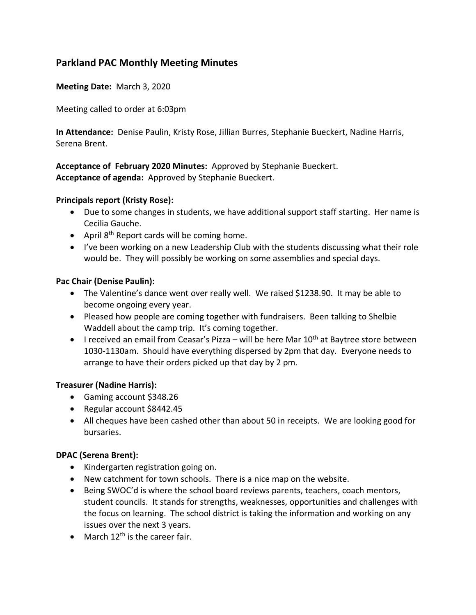# **Parkland PAC Monthly Meeting Minutes**

**Meeting Date:** March 3, 2020

Meeting called to order at 6:03pm

**In Attendance:** Denise Paulin, Kristy Rose, Jillian Burres, Stephanie Bueckert, Nadine Harris, Serena Brent.

### **Acceptance of February 2020 Minutes:** Approved by Stephanie Bueckert. **Acceptance of agenda:** Approved by Stephanie Bueckert.

#### **Principals report (Kristy Rose):**

- Due to some changes in students, we have additional support staff starting. Her name is Cecilia Gauche.
- April  $8<sup>th</sup>$  Report cards will be coming home.
- I've been working on a new Leadership Club with the students discussing what their role would be. They will possibly be working on some assemblies and special days.

### **Pac Chair (Denise Paulin):**

- The Valentine's dance went over really well. We raised \$1238.90. It may be able to become ongoing every year.
- Pleased how people are coming together with fundraisers. Been talking to Shelbie Waddell about the camp trip. It's coming together.
- I received an email from Ceasar's Pizza will be here Mar  $10<sup>th</sup>$  at Baytree store between 1030-1130am. Should have everything dispersed by 2pm that day. Everyone needs to arrange to have their orders picked up that day by 2 pm.

#### **Treasurer (Nadine Harris):**

- Gaming account \$348.26
- Regular account \$8442.45
- All cheques have been cashed other than about 50 in receipts. We are looking good for bursaries.

#### **DPAC (Serena Brent):**

- Kindergarten registration going on.
- New catchment for town schools. There is a nice map on the website.
- Being SWOC'd is where the school board reviews parents, teachers, coach mentors, student councils. It stands for strengths, weaknesses, opportunities and challenges with the focus on learning. The school district is taking the information and working on any issues over the next 3 years.
- March  $12<sup>th</sup>$  is the career fair.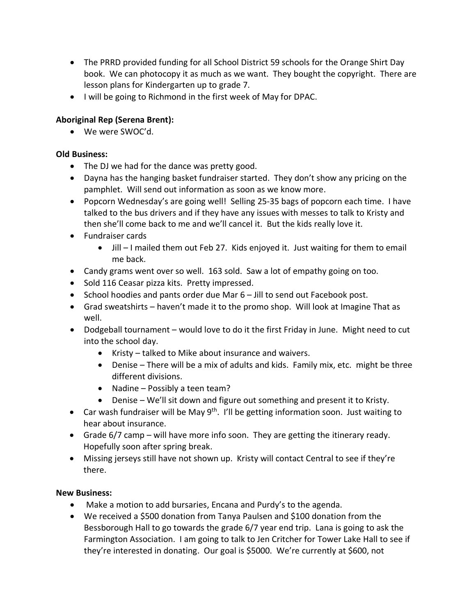- The PRRD provided funding for all School District 59 schools for the Orange Shirt Day book. We can photocopy it as much as we want. They bought the copyright. There are lesson plans for Kindergarten up to grade 7.
- I will be going to Richmond in the first week of May for DPAC.

## **Aboriginal Rep (Serena Brent):**

• We were SWOC'd.

### **Old Business:**

- The DJ we had for the dance was pretty good.
- Dayna has the hanging basket fundraiser started. They don't show any pricing on the pamphlet. Will send out information as soon as we know more.
- Popcorn Wednesday's are going well! Selling 25-35 bags of popcorn each time. I have talked to the bus drivers and if they have any issues with messes to talk to Kristy and then she'll come back to me and we'll cancel it. But the kids really love it.
- Fundraiser cards
	- Jill I mailed them out Feb 27. Kids enjoyed it. Just waiting for them to email me back.
- Candy grams went over so well. 163 sold. Saw a lot of empathy going on too.
- Sold 116 Ceasar pizza kits. Pretty impressed.
- School hoodies and pants order due Mar 6 Jill to send out Facebook post.
- Grad sweatshirts haven't made it to the promo shop. Will look at Imagine That as well.
- Dodgeball tournament would love to do it the first Friday in June. Might need to cut into the school day.
	- Kristy talked to Mike about insurance and waivers.
	- Denise There will be a mix of adults and kids. Family mix, etc. might be three different divisions.
	- Nadine Possibly a teen team?
	- Denise We'll sit down and figure out something and present it to Kristy.
- Car wash fundraiser will be May 9<sup>th</sup>. I'll be getting information soon. Just waiting to hear about insurance.
- Grade 6/7 camp will have more info soon. They are getting the itinerary ready. Hopefully soon after spring break.
- Missing jerseys still have not shown up. Kristy will contact Central to see if they're there.

### **New Business:**

- Make a motion to add bursaries, Encana and Purdy's to the agenda.
- We received a \$500 donation from Tanya Paulsen and \$100 donation from the Bessborough Hall to go towards the grade 6/7 year end trip. Lana is going to ask the Farmington Association. I am going to talk to Jen Critcher for Tower Lake Hall to see if they're interested in donating. Our goal is \$5000. We're currently at \$600, not